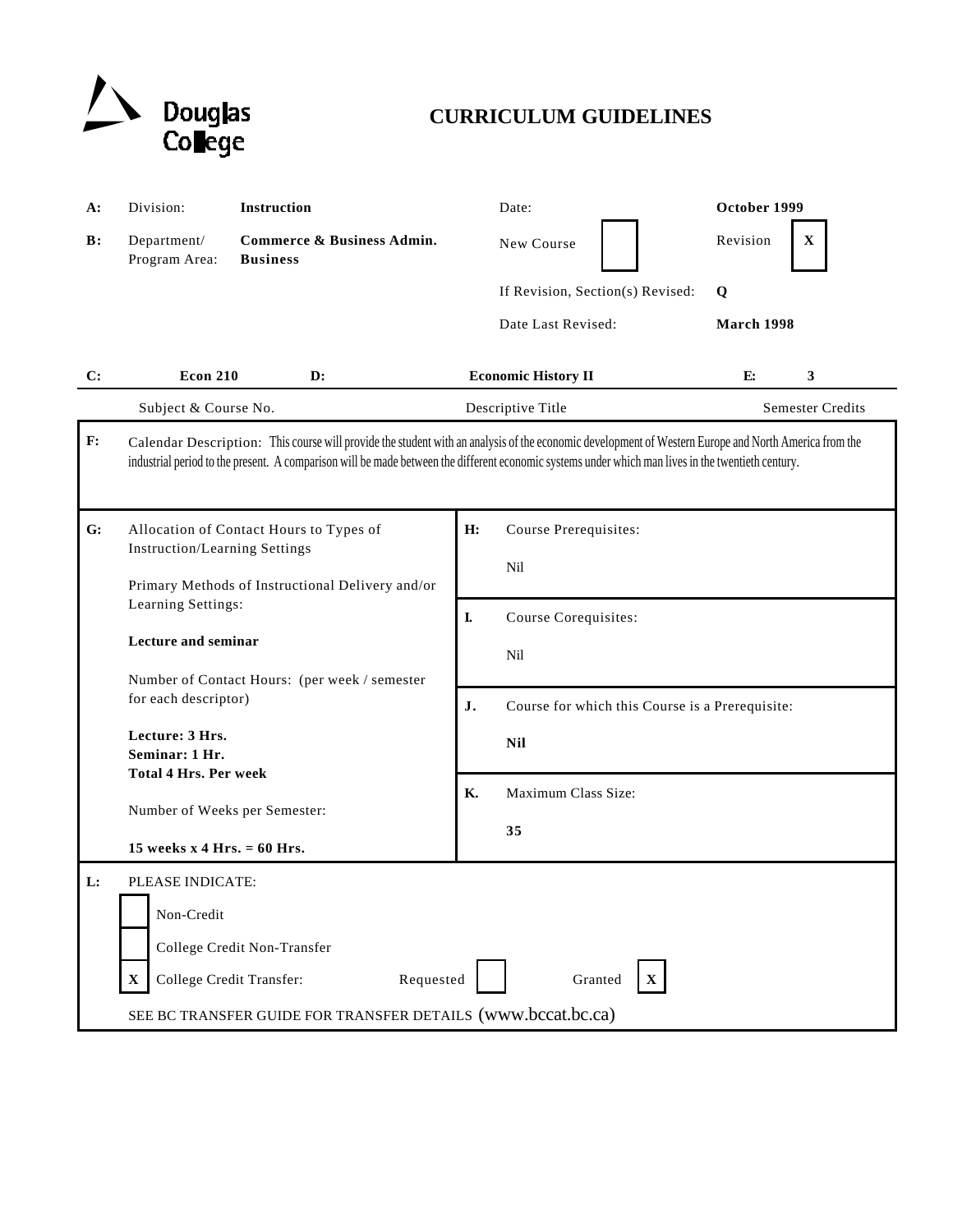

## **CURRICULUM GUIDELINES**

| A:             | Division:                                                                                                                                                                                                                                                                                                  | Instruction                                                                                         |                   | Date:                                           | October 1999            |             |
|----------------|------------------------------------------------------------------------------------------------------------------------------------------------------------------------------------------------------------------------------------------------------------------------------------------------------------|-----------------------------------------------------------------------------------------------------|-------------------|-------------------------------------------------|-------------------------|-------------|
| $\mathbf{B}$ : | Department/<br>Program Area:                                                                                                                                                                                                                                                                               | Commerce & Business Admin.<br><b>Business</b>                                                       |                   | New Course                                      | Revision                | $\mathbf X$ |
|                |                                                                                                                                                                                                                                                                                                            |                                                                                                     |                   | If Revision, Section(s) Revised:                | Q                       |             |
|                |                                                                                                                                                                                                                                                                                                            |                                                                                                     |                   | Date Last Revised:                              | <b>March 1998</b>       |             |
| $\mathbf{C}$ : | <b>Econ 210</b>                                                                                                                                                                                                                                                                                            | $\mathbf{D}$ :                                                                                      |                   | <b>Economic History II</b>                      | E:                      | 3           |
|                | Subject & Course No.                                                                                                                                                                                                                                                                                       |                                                                                                     | Descriptive Title |                                                 | <b>Semester Credits</b> |             |
| F:             | Calendar Description: This course will provide the student with an analysis of the economic development of Western Europe and North America from the<br>industrial period to the present. A comparison will be made between the different economic systems under which man lives in the twentieth century. |                                                                                                     |                   |                                                 |                         |             |
| G:             | Allocation of Contact Hours to Types of<br><b>Instruction/Learning Settings</b><br>Primary Methods of Instructional Delivery and/or<br>Learning Settings:                                                                                                                                                  |                                                                                                     | H:                | Course Prerequisites:<br>Nil                    |                         |             |
|                |                                                                                                                                                                                                                                                                                                            |                                                                                                     | L                 | Course Corequisites:                            |                         |             |
|                |                                                                                                                                                                                                                                                                                                            | <b>Lecture and seminar</b><br>Number of Contact Hours: (per week / semester<br>for each descriptor) |                   | Nil                                             |                         |             |
|                |                                                                                                                                                                                                                                                                                                            |                                                                                                     |                   | Course for which this Course is a Prerequisite: |                         |             |
|                | Lecture: 3 Hrs.<br>Seminar: 1 Hr.<br><b>Total 4 Hrs. Per week</b><br>Number of Weeks per Semester:<br>15 weeks $x$ 4 Hrs. = 60 Hrs.                                                                                                                                                                        |                                                                                                     |                   | Nil                                             |                         |             |
|                |                                                                                                                                                                                                                                                                                                            |                                                                                                     | Κ.                | Maximum Class Size:                             |                         |             |
|                |                                                                                                                                                                                                                                                                                                            |                                                                                                     | 35                |                                                 |                         |             |
| L:             | PLEASE INDICATE:                                                                                                                                                                                                                                                                                           |                                                                                                     |                   |                                                 |                         |             |
|                | Non-Credit                                                                                                                                                                                                                                                                                                 |                                                                                                     |                   |                                                 |                         |             |
|                |                                                                                                                                                                                                                                                                                                            | College Credit Non-Transfer                                                                         |                   |                                                 |                         |             |
|                | $\mathbf X$                                                                                                                                                                                                                                                                                                | College Credit Transfer:<br>Requested<br>Granted<br>$\mathbf{X}$                                    |                   |                                                 |                         |             |
|                | SEE BC TRANSFER GUIDE FOR TRANSFER DETAILS (www.bccat.bc.ca)                                                                                                                                                                                                                                               |                                                                                                     |                   |                                                 |                         |             |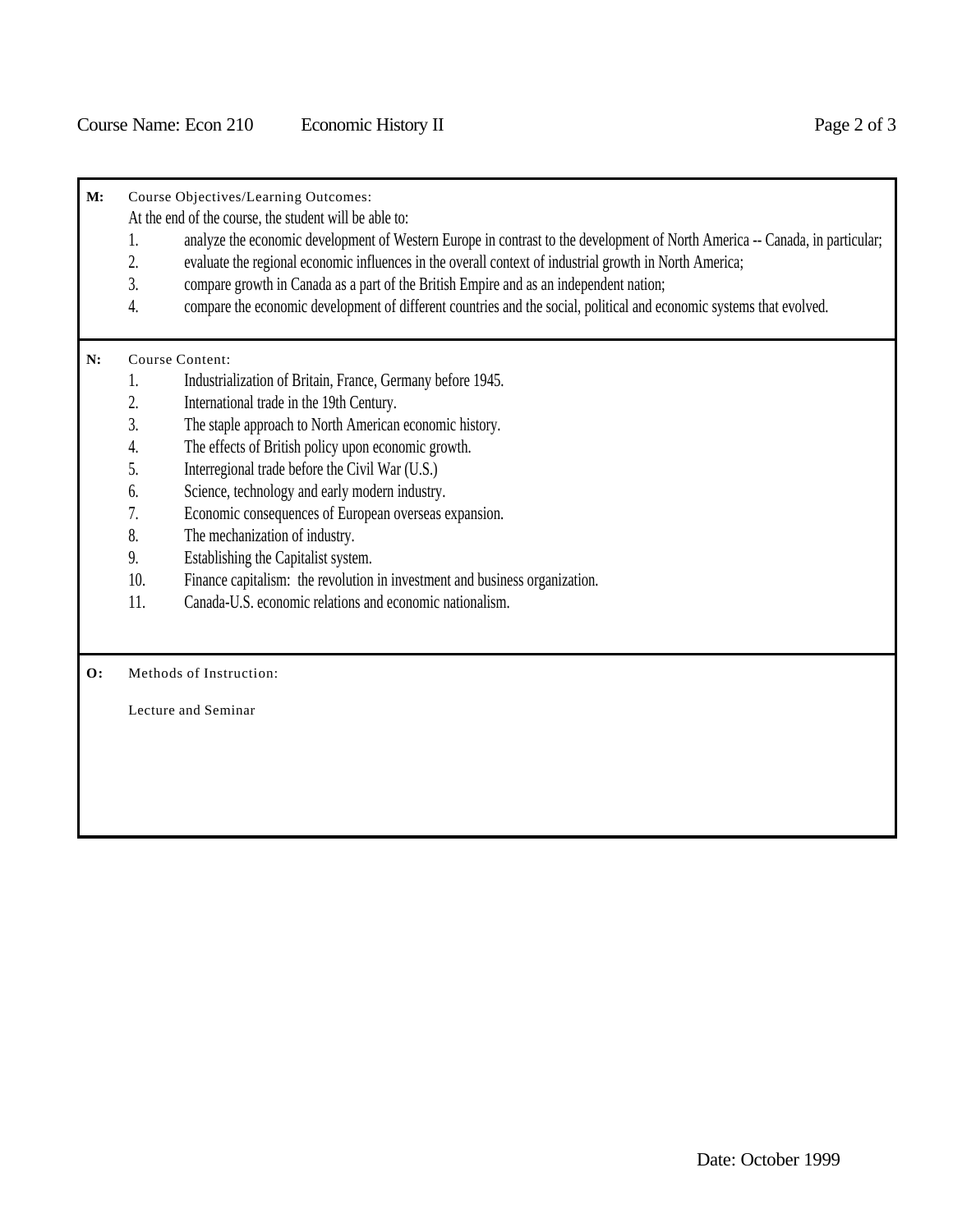**M:** Course Objectives/Learning Outcomes:

At the end of the course, the student will be able to:

- 1. analyze the economic development of Western Europe in contrast to the development of North America -- Canada, in particular;
- 2. evaluate the regional economic influences in the overall context of industrial growth in North America;
- 3. compare growth in Canada as a part of the British Empire and as an independent nation;
- 4. compare the economic development of different countries and the social, political and economic systems that evolved.

## **N:** Course Content:

- 1. Industrialization of Britain, France, Germany before 1945.
- 2. International trade in the 19th Century.
- 3. The staple approach to North American economic history.
- 4. The effects of British policy upon economic growth.
- 5. Interregional trade before the Civil War (U.S.)
- 6. Science, technology and early modern industry.
- 7. Economic consequences of European overseas expansion.
- 8. The mechanization of industry.
- 9. Establishing the Capitalist system.
- 10. Finance capitalism: the revolution in investment and business organization.
- 11. Canada-U.S. economic relations and economic nationalism.

**O:** Methods of Instruction:

Lecture and Seminar